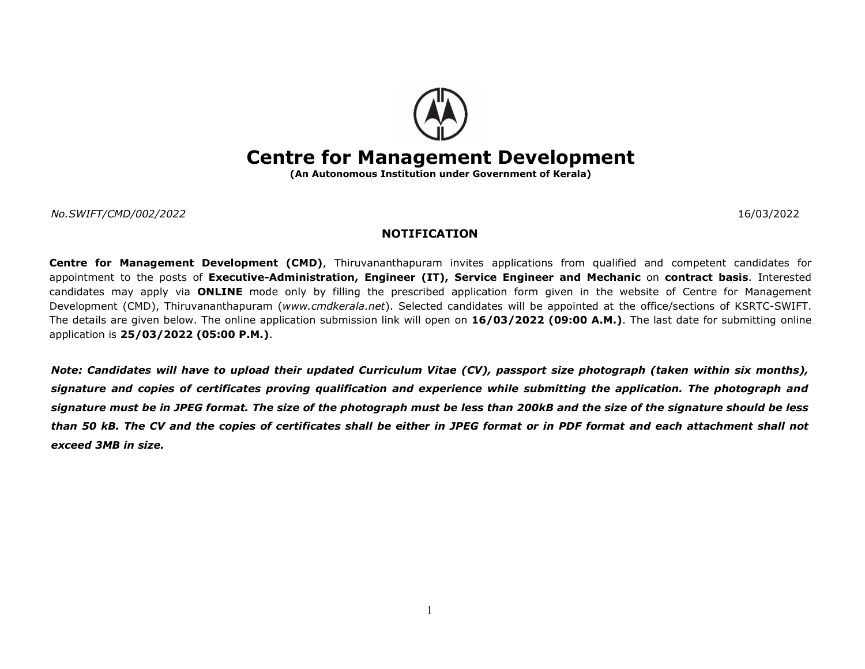

## Centre for Management Development

(An Autonomous Institution under Government of Kerala)

No.SWIFT/CMD/002/2022 16/03/2022

## NOTIFICATION

Centre for Management Development (CMD), Thiruvananthapuram invites applications from qualified and competent candidates for appointment to the posts of Executive-Administration, Engineer (IT), Service Engineer and Mechanic on contract basis. Interested candidates may apply via ONLINE mode only by filling the prescribed application form given in the website of Centre for Management Development (CMD), Thiruvananthapuram (www.cmdkerala.net). Selected candidates will be appointed at the office/sections of KSRTC-SWIFT. The details are given below. The online application submission link will open on 16/03/2022 (09:00 A.M.). The last date for submitting online application is 25/03/2022 (05:00 P.M.).

Note: Candidates will have to upload their updated Curriculum Vitae (CV), passport size photograph (taken within six months), signature and copies of certificates proving qualification and experience while submitting the application. The photograph and signature must be in JPEG format. The size of the photograph must be less than 200kB and the size of the signature should be less than 50 kB. The CV and the copies of certificates shall be either in JPEG format or in PDF format and each attachment shall not exceed 3MB in size.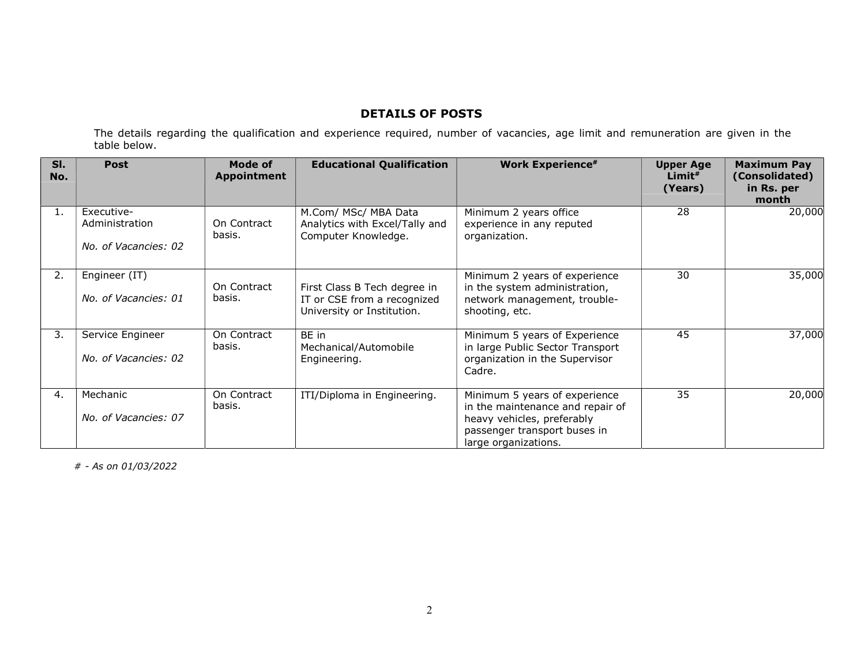## DETAILS OF POSTS

The details regarding the qualification and experience required, number of vacancies, age limit and remuneration are given in the table below.

| SI.<br>No. | <b>Post</b>                                          | Mode of<br>Appointment | <b>Educational Qualification</b>                                                          | <b>Work Experience#</b>                                                                                                                                 | <b>Upper Age</b><br>$Limit*$<br>(Years) | <b>Maximum Pay</b><br>(Consolidated)<br>in Rs. per<br>month |
|------------|------------------------------------------------------|------------------------|-------------------------------------------------------------------------------------------|---------------------------------------------------------------------------------------------------------------------------------------------------------|-----------------------------------------|-------------------------------------------------------------|
| 1.         | Executive-<br>Administration<br>No. of Vacancies: 02 | On Contract<br>basis.  | M.Com/ MSc/ MBA Data<br>Analytics with Excel/Tally and<br>Computer Knowledge.             | Minimum 2 years office<br>experience in any reputed<br>organization.                                                                                    | 28                                      | 20,000                                                      |
| 2.         | Engineer (IT)<br>No. of Vacancies: 01                | On Contract<br>basis.  | First Class B Tech degree in<br>IT or CSE from a recognized<br>University or Institution. | Minimum 2 years of experience<br>in the system administration,<br>network management, trouble-<br>shooting, etc.                                        | 30                                      | 35,000                                                      |
| 3.         | Service Engineer<br>No. of Vacancies: 02             | On Contract<br>basis.  | BE in<br>Mechanical/Automobile<br>Engineering.                                            | Minimum 5 years of Experience<br>in large Public Sector Transport<br>organization in the Supervisor<br>Cadre.                                           | 45                                      | 37,000                                                      |
| 4.         | Mechanic<br>No. of Vacancies: 07                     | On Contract<br>basis.  | ITI/Diploma in Engineering.                                                               | Minimum 5 years of experience<br>in the maintenance and repair of<br>heavy vehicles, preferably<br>passenger transport buses in<br>large organizations. | 35                                      | 20,000                                                      |

# - As on 01/03/2022